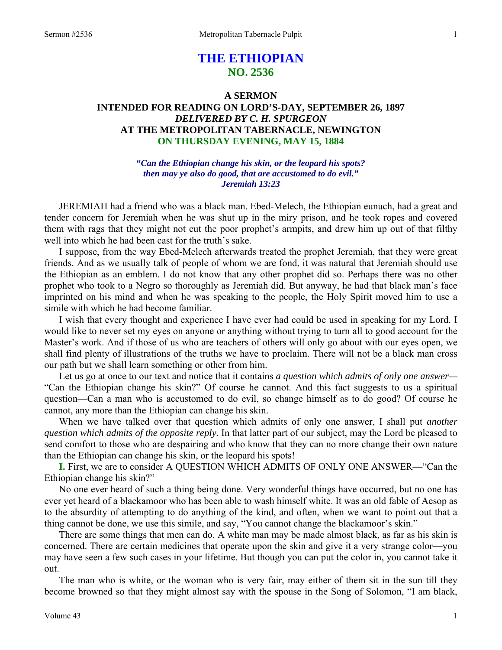# **THE ETHIOPIAN NO. 2536**

# **A SERMON INTENDED FOR READING ON LORD'S-DAY, SEPTEMBER 26, 1897**  *DELIVERED BY C. H. SPURGEON*  **AT THE METROPOLITAN TABERNACLE, NEWINGTON ON THURSDAY EVENING, MAY 15, 1884**

**"***Can the Ethiopian change his skin, or the leopard his spots? then may ye also do good, that are accustomed to do evil." Jeremiah 13:23* 

JEREMIAH had a friend who was a black man. Ebed-Melech, the Ethiopian eunuch, had a great and tender concern for Jeremiah when he was shut up in the miry prison, and he took ropes and covered them with rags that they might not cut the poor prophet's armpits, and drew him up out of that filthy well into which he had been cast for the truth's sake.

I suppose, from the way Ebed-Melech afterwards treated the prophet Jeremiah, that they were great friends. And as we usually talk of people of whom we are fond, it was natural that Jeremiah should use the Ethiopian as an emblem. I do not know that any other prophet did so. Perhaps there was no other prophet who took to a Negro so thoroughly as Jeremiah did. But anyway, he had that black man's face imprinted on his mind and when he was speaking to the people, the Holy Spirit moved him to use a simile with which he had become familiar.

I wish that every thought and experience I have ever had could be used in speaking for my Lord. I would like to never set my eyes on anyone or anything without trying to turn all to good account for the Master's work. And if those of us who are teachers of others will only go about with our eyes open, we shall find plenty of illustrations of the truths we have to proclaim. There will not be a black man cross our path but we shall learn something or other from him.

Let us go at once to our text and notice that it contains *a question which admits of only one answer—* "Can the Ethiopian change his skin?" Of course he cannot. And this fact suggests to us a spiritual question—Can a man who is accustomed to do evil, so change himself as to do good? Of course he cannot, any more than the Ethiopian can change his skin.

When we have talked over that question which admits of only one answer, I shall put *another question which admits of the opposite reply.* In that latter part of our subject, may the Lord be pleased to send comfort to those who are despairing and who know that they can no more change their own nature than the Ethiopian can change his skin, or the leopard his spots!

**I.** First, we are to consider A QUESTION WHICH ADMITS OF ONLY ONE ANSWER—"Can the Ethiopian change his skin?"

No one ever heard of such a thing being done. Very wonderful things have occurred, but no one has ever yet heard of a blackamoor who has been able to wash himself white. It was an old fable of Aesop as to the absurdity of attempting to do anything of the kind, and often, when we want to point out that a thing cannot be done, we use this simile, and say, "You cannot change the blackamoor's skin."

There are some things that men can do. A white man may be made almost black, as far as his skin is concerned. There are certain medicines that operate upon the skin and give it a very strange color—you may have seen a few such cases in your lifetime. But though you can put the color in, you cannot take it out.

The man who is white, or the woman who is very fair, may either of them sit in the sun till they become browned so that they might almost say with the spouse in the Song of Solomon, "I am black,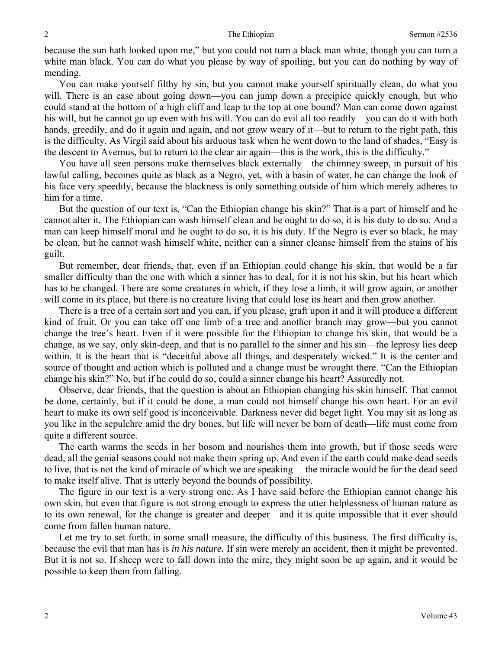because the sun hath looked upon me," but you could not turn a black man white, though you can turn a white man black. You can do what you please by way of spoiling, but you can do nothing by way of mending.

You can make yourself filthy by sin, but you cannot make yourself spiritually clean, do what you will. There is an ease about going down—you can jump down a precipice quickly enough, but who could stand at the bottom of a high cliff and leap to the top at one bound? Man can come down against his will, but he cannot go up even with his will. You can do evil all too readily—you can do it with both hands, greedily, and do it again and again, and not grow weary of it—but to return to the right path, this is the difficulty. As Virgil said about his arduous task when he went down to the land of shades, "Easy is the descent to Avernus, but to return to the clear air again—this is the work, this is the difficulty."

You have all seen persons make themselves black externally—the chimney sweep, in pursuit of his lawful calling, becomes quite as black as a Negro, yet, with a basin of water, he can change the look of his face very speedily, because the blackness is only something outside of him which merely adheres to him for a time.

But the question of our text is, "Can the Ethiopian change his skin?" That is a part of himself and he cannot alter it. The Ethiopian can wash himself clean and he ought to do so, it is his duty to do so. And a man can keep himself moral and he ought to do so, it is his duty. If the Negro is ever so black, he may be clean, but he cannot wash himself white, neither can a sinner cleanse himself from the stains of his guilt.

But remember, dear friends, that, even if an Ethiopian could change his skin, that would be a far smaller difficulty than the one with which a sinner has to deal, for it is not his skin, but his heart which has to be changed. There are some creatures in which, if they lose a limb, it will grow again, or another will come in its place, but there is no creature living that could lose its heart and then grow another.

There is a tree of a certain sort and you can, if you please, graft upon it and it will produce a different kind of fruit. Or you can take off one limb of a tree and another branch may grow—but you cannot change the tree's heart. Even if it were possible for the Ethiopian to change his skin, that would be a change, as we say, only skin-deep, and that is no parallel to the sinner and his sin—the leprosy lies deep within. It is the heart that is "deceitful above all things, and desperately wicked." It is the center and source of thought and action which is polluted and a change must be wrought there. "Can the Ethiopian change his skin?" No, but if he could do so, could a sinner change his heart? Assuredly not.

Observe, dear friends, that the question is about an Ethiopian changing his skin himself. That cannot be done, certainly, but if it could be done, a man could not himself change his own heart. For an evil heart to make its own self good is inconceivable. Darkness never did beget light. You may sit as long as you like in the sepulchre amid the dry bones, but life will never be born of death—life must come from quite a different source.

The earth warms the seeds in her bosom and nourishes them into growth, but if those seeds were dead, all the genial seasons could not make them spring up. And even if the earth could make dead seeds to live, that is not the kind of miracle of which we are speaking— the miracle would be for the dead seed to make itself alive. That is utterly beyond the bounds of possibility.

The figure in our text is a very strong one. As I have said before the Ethiopian cannot change his own skin, but even that figure is not strong enough to express the utter helplessness of human nature as to its own renewal, for the change is greater and deeper—and it is quite impossible that it ever should come from fallen human nature.

Let me try to set forth, in some small measure, the difficulty of this business. The first difficulty is, because the evil that man has is *in his nature.* If sin were merely an accident, then it might be prevented. But it is not so. If sheep were to fall down into the mire, they might soon be up again, and it would be possible to keep them from falling.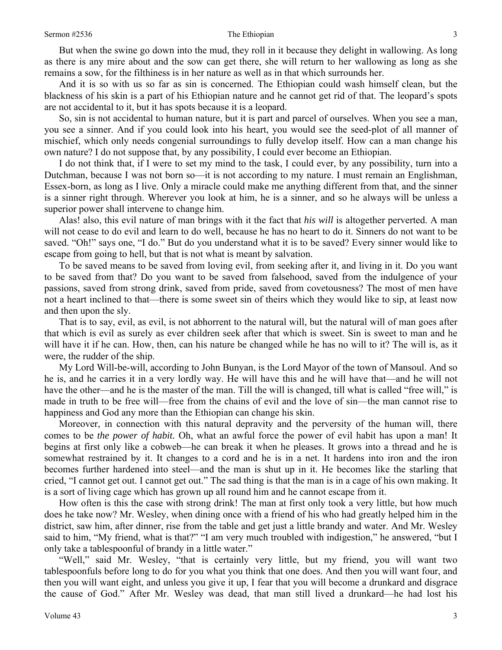But when the swine go down into the mud, they roll in it because they delight in wallowing. As long as there is any mire about and the sow can get there, she will return to her wallowing as long as she remains a sow, for the filthiness is in her nature as well as in that which surrounds her.

And it is so with us so far as sin is concerned. The Ethiopian could wash himself clean, but the blackness of his skin is a part of his Ethiopian nature and he cannot get rid of that. The leopard's spots are not accidental to it, but it has spots because it is a leopard.

So, sin is not accidental to human nature, but it is part and parcel of ourselves. When you see a man, you see a sinner. And if you could look into his heart, you would see the seed-plot of all manner of mischief, which only needs congenial surroundings to fully develop itself. How can a man change his own nature? I do not suppose that, by any possibility, I could ever become an Ethiopian.

I do not think that, if I were to set my mind to the task, I could ever, by any possibility, turn into a Dutchman, because I was not born so—it is not according to my nature. I must remain an Englishman, Essex-born, as long as I live. Only a miracle could make me anything different from that, and the sinner is a sinner right through. Wherever you look at him, he is a sinner, and so he always will be unless a superior power shall intervene to change him.

Alas! also, this evil nature of man brings with it the fact that *his will* is altogether perverted. A man will not cease to do evil and learn to do well, because he has no heart to do it. Sinners do not want to be saved. "Oh!" says one, "I do." But do you understand what it is to be saved? Every sinner would like to escape from going to hell, but that is not what is meant by salvation.

To be saved means to be saved from loving evil, from seeking after it, and living in it. Do you want to be saved from that? Do you want to be saved from falsehood, saved from the indulgence of your passions, saved from strong drink, saved from pride, saved from covetousness? The most of men have not a heart inclined to that—there is some sweet sin of theirs which they would like to sip, at least now and then upon the sly.

That is to say, evil, as evil, is not abhorrent to the natural will, but the natural will of man goes after that which is evil as surely as ever children seek after that which is sweet. Sin is sweet to man and he will have it if he can. How, then, can his nature be changed while he has no will to it? The will is, as it were, the rudder of the ship.

My Lord Will-be-will, according to John Bunyan, is the Lord Mayor of the town of Mansoul. And so he is, and he carries it in a very lordly way. He will have this and he will have that—and he will not have the other—and he is the master of the man. Till the will is changed, till what is called "free will," is made in truth to be free will—free from the chains of evil and the love of sin—the man cannot rise to happiness and God any more than the Ethiopian can change his skin.

Moreover, in connection with this natural depravity and the perversity of the human will, there comes to be *the power of habit.* Oh, what an awful force the power of evil habit has upon a man! It begins at first only like a cobweb—he can break it when he pleases. It grows into a thread and he is somewhat restrained by it. It changes to a cord and he is in a net. It hardens into iron and the iron becomes further hardened into steel—and the man is shut up in it. He becomes like the starling that cried, "I cannot get out. I cannot get out." The sad thing is that the man is in a cage of his own making. It is a sort of living cage which has grown up all round him and he cannot escape from it.

How often is this the case with strong drink! The man at first only took a very little, but how much does he take now? Mr. Wesley, when dining once with a friend of his who had greatly helped him in the district, saw him, after dinner, rise from the table and get just a little brandy and water. And Mr. Wesley said to him, "My friend, what is that?" "I am very much troubled with indigestion," he answered, "but I only take a tablespoonful of brandy in a little water."

"Well," said Mr. Wesley, "that is certainly very little, but my friend, you will want two tablespoonfuls before long to do for you what you think that one does. And then you will want four, and then you will want eight, and unless you give it up, I fear that you will become a drunkard and disgrace the cause of God." After Mr. Wesley was dead, that man still lived a drunkard—he had lost his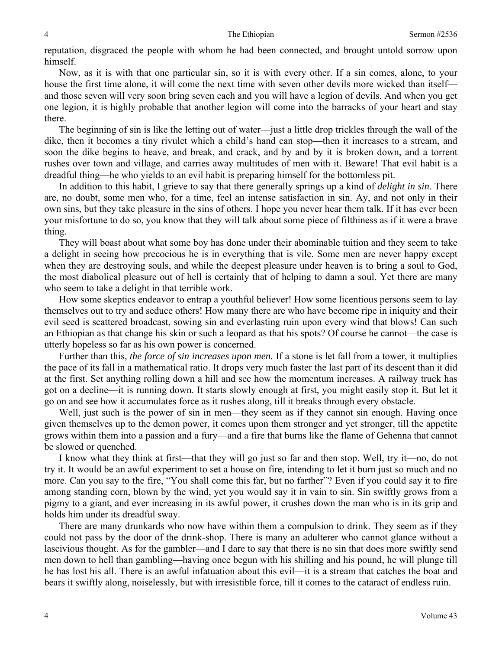reputation, disgraced the people with whom he had been connected, and brought untold sorrow upon himself.

Now, as it is with that one particular sin, so it is with every other. If a sin comes, alone, to your house the first time alone, it will come the next time with seven other devils more wicked than itself and those seven will very soon bring seven each and you will have a legion of devils. And when you get one legion, it is highly probable that another legion will come into the barracks of your heart and stay there.

The beginning of sin is like the letting out of water—just a little drop trickles through the wall of the dike, then it becomes a tiny rivulet which a child's hand can stop—then it increases to a stream, and soon the dike begins to heave, and break, and crack, and by and by it is broken down, and a torrent rushes over town and village, and carries away multitudes of men with it. Beware! That evil habit is a dreadful thing—he who yields to an evil habit is preparing himself for the bottomless pit.

In addition to this habit, I grieve to say that there generally springs up a kind of *delight in sin.* There are, no doubt, some men who, for a time, feel an intense satisfaction in sin. Ay, and not only in their own sins, but they take pleasure in the sins of others. I hope you never hear them talk. If it has ever been your misfortune to do so, you know that they will talk about some piece of filthiness as if it were a brave thing.

They will boast about what some boy has done under their abominable tuition and they seem to take a delight in seeing how precocious he is in everything that is vile. Some men are never happy except when they are destroying souls, and while the deepest pleasure under heaven is to bring a soul to God, the most diabolical pleasure out of hell is certainly that of helping to damn a soul. Yet there are many who seem to take a delight in that terrible work.

How some skeptics endeavor to entrap a youthful believer! How some licentious persons seem to lay themselves out to try and seduce others! How many there are who have become ripe in iniquity and their evil seed is scattered broadcast, sowing sin and everlasting ruin upon every wind that blows! Can such an Ethiopian as that change his skin or such a leopard as that his spots? Of course he cannot—the case is utterly hopeless so far as his own power is concerned.

Further than this, *the force of sin increases upon men.* If a stone is let fall from a tower, it multiplies the pace of its fall in a mathematical ratio. It drops very much faster the last part of its descent than it did at the first. Set anything rolling down a hill and see how the momentum increases. A railway truck has got on a decline—it is running down. It starts slowly enough at first, you might easily stop it. But let it go on and see how it accumulates force as it rushes along, till it breaks through every obstacle.

Well, just such is the power of sin in men—they seem as if they cannot sin enough. Having once given themselves up to the demon power, it comes upon them stronger and yet stronger, till the appetite grows within them into a passion and a fury—and a fire that burns like the flame of Gehenna that cannot be slowed or quenched.

I know what they think at first—that they will go just so far and then stop. Well, try it—no, do not try it. It would be an awful experiment to set a house on fire, intending to let it burn just so much and no more. Can you say to the fire, "You shall come this far, but no farther"? Even if you could say it to fire among standing corn, blown by the wind, yet you would say it in vain to sin. Sin swiftly grows from a pigmy to a giant, and ever increasing in its awful power, it crushes down the man who is in its grip and holds him under its dreadful sway.

There are many drunkards who now have within them a compulsion to drink. They seem as if they could not pass by the door of the drink-shop. There is many an adulterer who cannot glance without a lascivious thought. As for the gambler—and I dare to say that there is no sin that does more swiftly send men down to hell than gambling—having once begun with his shilling and his pound, he will plunge till he has lost his all. There is an awful infatuation about this evil—it is a stream that catches the boat and bears it swiftly along, noiselessly, but with irresistible force, till it comes to the cataract of endless ruin.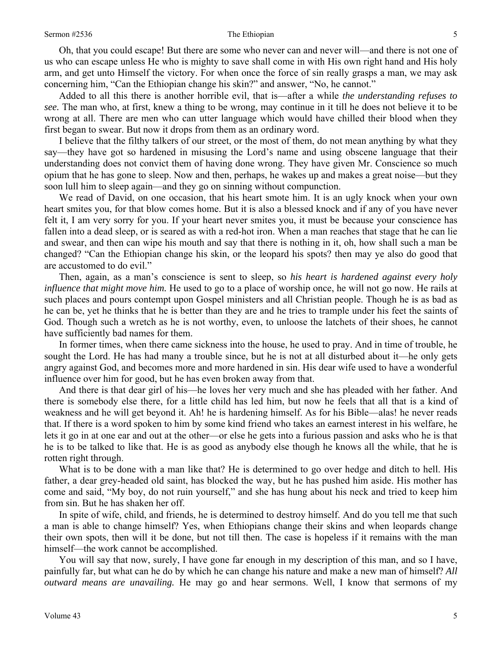Oh, that you could escape! But there are some who never can and never will—and there is not one of us who can escape unless He who is mighty to save shall come in with His own right hand and His holy arm, and get unto Himself the victory. For when once the force of sin really grasps a man, we may ask concerning him, "Can the Ethiopian change his skin?" and answer, "No, he cannot."

Added to all this there is another horrible evil, that is—after a while *the understanding refuses to see.* The man who, at first, knew a thing to be wrong, may continue in it till he does not believe it to be wrong at all. There are men who can utter language which would have chilled their blood when they first began to swear. But now it drops from them as an ordinary word.

I believe that the filthy talkers of our street, or the most of them, do not mean anything by what they say—they have got so hardened in misusing the Lord's name and using obscene language that their understanding does not convict them of having done wrong. They have given Mr. Conscience so much opium that he has gone to sleep. Now and then, perhaps, he wakes up and makes a great noise—but they soon lull him to sleep again—and they go on sinning without compunction.

We read of David, on one occasion, that his heart smote him. It is an ugly knock when your own heart smites you, for that blow comes home. But it is also a blessed knock and if any of you have never felt it, I am very sorry for you. If your heart never smites you, it must be because your conscience has fallen into a dead sleep, or is seared as with a red-hot iron. When a man reaches that stage that he can lie and swear, and then can wipe his mouth and say that there is nothing in it, oh, how shall such a man be changed? "Can the Ethiopian change his skin, or the leopard his spots? then may ye also do good that are accustomed to do evil."

Then, again, as a man's conscience is sent to sleep, so *his heart is hardened against every holy influence that might move him.* He used to go to a place of worship once, he will not go now. He rails at such places and pours contempt upon Gospel ministers and all Christian people. Though he is as bad as he can be, yet he thinks that he is better than they are and he tries to trample under his feet the saints of God. Though such a wretch as he is not worthy, even, to unloose the latchets of their shoes, he cannot have sufficiently bad names for them.

In former times, when there came sickness into the house, he used to pray. And in time of trouble, he sought the Lord. He has had many a trouble since, but he is not at all disturbed about it—he only gets angry against God, and becomes more and more hardened in sin. His dear wife used to have a wonderful influence over him for good, but he has even broken away from that.

And there is that dear girl of his—he loves her very much and she has pleaded with her father. And there is somebody else there, for a little child has led him, but now he feels that all that is a kind of weakness and he will get beyond it. Ah! he is hardening himself. As for his Bible—alas! he never reads that. If there is a word spoken to him by some kind friend who takes an earnest interest in his welfare, he lets it go in at one ear and out at the other—or else he gets into a furious passion and asks who he is that he is to be talked to like that. He is as good as anybody else though he knows all the while, that he is rotten right through.

What is to be done with a man like that? He is determined to go over hedge and ditch to hell. His father, a dear grey-headed old saint, has blocked the way, but he has pushed him aside. His mother has come and said, "My boy, do not ruin yourself," and she has hung about his neck and tried to keep him from sin. But he has shaken her off.

In spite of wife, child, and friends, he is determined to destroy himself. And do you tell me that such a man is able to change himself? Yes, when Ethiopians change their skins and when leopards change their own spots, then will it be done, but not till then. The case is hopeless if it remains with the man himself—the work cannot be accomplished.

You will say that now, surely, I have gone far enough in my description of this man, and so I have, painfully far, but what can he do by which he can change his nature and make a new man of himself? *All outward means are unavailing.* He may go and hear sermons. Well, I know that sermons of my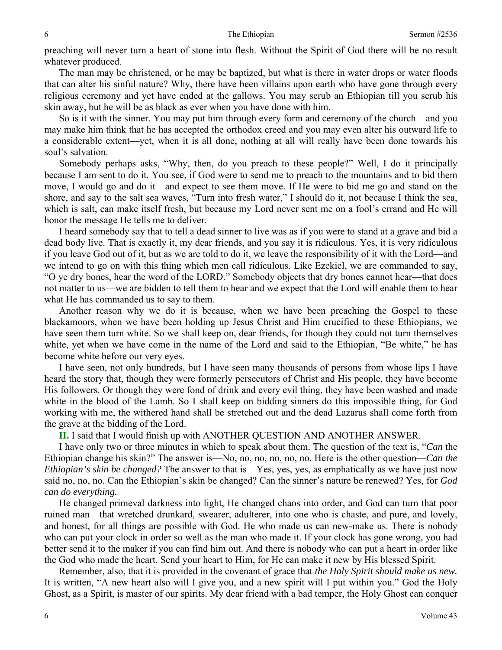preaching will never turn a heart of stone into flesh. Without the Spirit of God there will be no result whatever produced.

The man may be christened, or he may be baptized, but what is there in water drops or water floods that can alter his sinful nature? Why, there have been villains upon earth who have gone through every religious ceremony and yet have ended at the gallows. You may scrub an Ethiopian till you scrub his skin away, but he will be as black as ever when you have done with him.

So is it with the sinner. You may put him through every form and ceremony of the church—and you may make him think that he has accepted the orthodox creed and you may even alter his outward life to a considerable extent—yet, when it is all done, nothing at all will really have been done towards his soul's salvation.

Somebody perhaps asks, "Why, then, do you preach to these people?" Well, I do it principally because I am sent to do it. You see, if God were to send me to preach to the mountains and to bid them move, I would go and do it—and expect to see them move. If He were to bid me go and stand on the shore, and say to the salt sea waves, "Turn into fresh water," I should do it, not because I think the sea, which is salt, can make itself fresh, but because my Lord never sent me on a fool's errand and He will honor the message He tells me to deliver.

I heard somebody say that to tell a dead sinner to live was as if you were to stand at a grave and bid a dead body live. That is exactly it, my dear friends, and you say it is ridiculous. Yes, it is very ridiculous if you leave God out of it, but as we are told to do it, we leave the responsibility of it with the Lord—and we intend to go on with this thing which men call ridiculous. Like Ezekiel, we are commanded to say, "O ye dry bones, hear the word of the LORD." Somebody objects that dry bones cannot hear—that does not matter to us—we are bidden to tell them to hear and we expect that the Lord will enable them to hear what He has commanded us to say to them.

Another reason why we do it is because, when we have been preaching the Gospel to these blackamoors, when we have been holding up Jesus Christ and Him crucified to these Ethiopians, we have seen them turn white. So we shall keep on, dear friends, for though they could not turn themselves white, yet when we have come in the name of the Lord and said to the Ethiopian, "Be white," he has become white before our very eyes.

I have seen, not only hundreds, but I have seen many thousands of persons from whose lips I have heard the story that, though they were formerly persecutors of Christ and His people, they have become His followers. Or though they were fond of drink and every evil thing, they have been washed and made white in the blood of the Lamb. So I shall keep on bidding sinners do this impossible thing, for God working with me, the withered hand shall be stretched out and the dead Lazarus shall come forth from the grave at the bidding of the Lord.

**II.** I said that I would finish up with ANOTHER QUESTION AND ANOTHER ANSWER.

I have only two or three minutes in which to speak about them. The question of the text is, "*Can* the Ethiopian change his skin?" The answer is—No, no, no, no, no, no. Here is the other question—*Can the Ethiopian's skin be changed?* The answer to that is—Yes, yes, yes, as emphatically as we have just now said no, no, no. Can the Ethiopian's skin be changed? Can the sinner's nature be renewed? Yes, for *God can do everything.* 

He changed primeval darkness into light, He changed chaos into order, and God can turn that poor ruined man—that wretched drunkard, swearer, adulterer, into one who is chaste, and pure, and lovely, and honest, for all things are possible with God. He who made us can new-make us. There is nobody who can put your clock in order so well as the man who made it. If your clock has gone wrong, you had better send it to the maker if you can find him out. And there is nobody who can put a heart in order like the God who made the heart. Send your heart to Him, for He can make it new by His blessed Spirit.

Remember, also, that it is provided in the covenant of grace that *the Holy Spirit should make us new.*  It is written, "A new heart also will I give you, and a new spirit will I put within you." God the Holy Ghost, as a Spirit, is master of our spirits. My dear friend with a bad temper, the Holy Ghost can conquer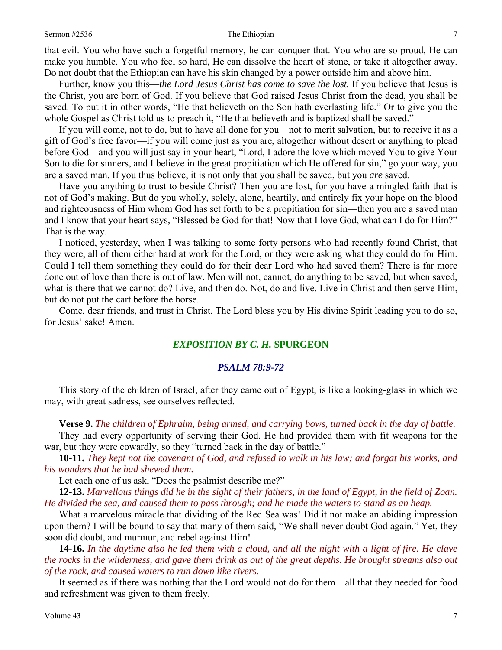that evil. You who have such a forgetful memory, he can conquer that. You who are so proud, He can make you humble. You who feel so hard, He can dissolve the heart of stone, or take it altogether away. Do not doubt that the Ethiopian can have his skin changed by a power outside him and above him.

Further, know you this—*the Lord Jesus Christ has come to save the lost.* If you believe that Jesus is the Christ, you are born of God. If you believe that God raised Jesus Christ from the dead, you shall be saved. To put it in other words, "He that believeth on the Son hath everlasting life." Or to give you the whole Gospel as Christ told us to preach it, "He that believeth and is baptized shall be saved."

If you will come, not to do, but to have all done for you—not to merit salvation, but to receive it as a gift of God's free favor—if you will come just as you are, altogether without desert or anything to plead before God—and you will just say in your heart, "Lord, I adore the love which moved You to give Your Son to die for sinners, and I believe in the great propitiation which He offered for sin," go your way, you are a saved man. If you thus believe, it is not only that you shall be saved, but you *are* saved.

Have you anything to trust to beside Christ? Then you are lost, for you have a mingled faith that is not of God's making. But do you wholly, solely, alone, heartily, and entirely fix your hope on the blood and righteousness of Him whom God has set forth to be a propitiation for sin—then you are a saved man and I know that your heart says, "Blessed be God for that! Now that I love God, what can I do for Him?" That is the way.

I noticed, yesterday, when I was talking to some forty persons who had recently found Christ, that they were, all of them either hard at work for the Lord, or they were asking what they could do for Him. Could I tell them something they could do for their dear Lord who had saved them? There is far more done out of love than there is out of law. Men will not, cannot, do anything to be saved, but when saved, what is there that we cannot do? Live, and then do. Not, do and live. Live in Christ and then serve Him, but do not put the cart before the horse.

Come, dear friends, and trust in Christ. The Lord bless you by His divine Spirit leading you to do so, for Jesus' sake! Amen.

## *EXPOSITION BY C. H.* **SPURGEON**

### *PSALM 78:9-72*

This story of the children of Israel, after they came out of Egypt, is like a looking-glass in which we may, with great sadness, see ourselves reflected.

**Verse 9.** *The children of Ephraim, being armed, and carrying bows, turned back in the day of battle.* 

They had every opportunity of serving their God. He had provided them with fit weapons for the war, but they were cowardly, so they "turned back in the day of battle."

**10-11.** *They kept not the covenant of God, and refused to walk in his law; and forgat his works, and his wonders that he had shewed them.* 

Let each one of us ask, "Does the psalmist describe me?"

**12-13.** *Marvellous things did he in the sight of their fathers, in the land of Egypt, in the field of Zoan. He divided the sea, and caused them to pass through; and he made the waters to stand as an heap.* 

What a marvelous miracle that dividing of the Red Sea was! Did it not make an abiding impression upon them? I will be bound to say that many of them said, "We shall never doubt God again." Yet, they soon did doubt, and murmur, and rebel against Him!

**14-16.** *In the daytime also he led them with a cloud, and all the night with a light of fire. He clave the rocks in the wilderness, and gave them drink as out of the great depths. He brought streams also out of the rock, and caused waters to run down like rivers.* 

It seemed as if there was nothing that the Lord would not do for them—all that they needed for food and refreshment was given to them freely.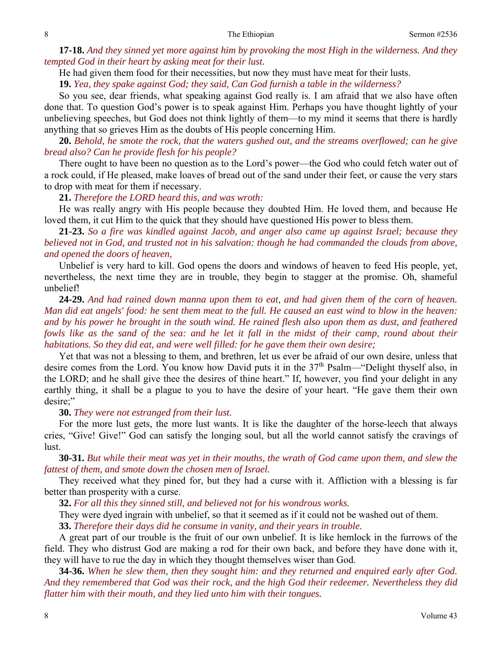**17-18.** *And they sinned yet more against him by provoking the most High in the wilderness. And they tempted God in their heart by asking meat for their lust.* 

He had given them food for their necessities, but now they must have meat for their lusts.

**19.** *Yea, they spake against God; they said, Can God furnish a table in the wilderness?* 

So you see, dear friends, what speaking against God really is. I am afraid that we also have often done that. To question God's power is to speak against Him. Perhaps you have thought lightly of your unbelieving speeches, but God does not think lightly of them—to my mind it seems that there is hardly anything that so grieves Him as the doubts of His people concerning Him.

**20.** *Behold, he smote the rock, that the waters gushed out, and the streams overflowed; can he give bread also? Can he provide flesh for his people?* 

There ought to have been no question as to the Lord's power—the God who could fetch water out of a rock could, if He pleased, make loaves of bread out of the sand under their feet, or cause the very stars to drop with meat for them if necessary.

**21.** *Therefore the LORD heard this, and was wroth:* 

He was really angry with His people because they doubted Him. He loved them, and because He loved them, it cut Him to the quick that they should have questioned His power to bless them.

**21-23.** *So a fire was kindled against Jacob, and anger also came up against Israel; because they believed not in God, and trusted not in his salvation: though he had commanded the clouds from above, and opened the doors of heaven,* 

Unbelief is very hard to kill. God opens the doors and windows of heaven to feed His people, yet, nevertheless, the next time they are in trouble, they begin to stagger at the promise. Oh, shameful unbelief!

**24-29.** *And had rained down manna upon them to eat, and had given them of the corn of heaven. Man did eat angels' food: he sent them meat to the full. He caused an east wind to blow in the heaven: and by his power he brought in the south wind. He rained flesh also upon them as dust, and feathered*  fowls like as the sand of the sea: and he let it fall in the midst of their camp, round about their *habitations. So they did eat, and were well filled: for he gave them their own desire;* 

Yet that was not a blessing to them, and brethren, let us ever be afraid of our own desire, unless that desire comes from the Lord. You know how David puts it in the 37<sup>th</sup> Psalm—"Delight thyself also, in the LORD; and he shall give thee the desires of thine heart." If, however, you find your delight in any earthly thing, it shall be a plague to you to have the desire of your heart. "He gave them their own desire;"

#### **30.** *They were not estranged from their lust.*

For the more lust gets, the more lust wants. It is like the daughter of the horse-leech that always cries, "Give! Give!" God can satisfy the longing soul, but all the world cannot satisfy the cravings of lust.

**30-31.** *But while their meat was yet in their mouths, the wrath of God came upon them, and slew the fattest of them, and smote down the chosen men of Israel.* 

They received what they pined for, but they had a curse with it. Affliction with a blessing is far better than prosperity with a curse.

**32.** *For all this they sinned still, and believed not for his wondrous works.* 

They were dyed ingrain with unbelief, so that it seemed as if it could not be washed out of them.

**33.** *Therefore their days did he consume in vanity, and their years in trouble.* 

A great part of our trouble is the fruit of our own unbelief. It is like hemlock in the furrows of the field. They who distrust God are making a rod for their own back, and before they have done with it, they will have to rue the day in which they thought themselves wiser than God.

**34-36.** *When he slew them, then they sought him: and they returned and enquired early after God. And they remembered that God was their rock, and the high God their redeemer. Nevertheless they did flatter him with their mouth, and they lied unto him with their tongues.*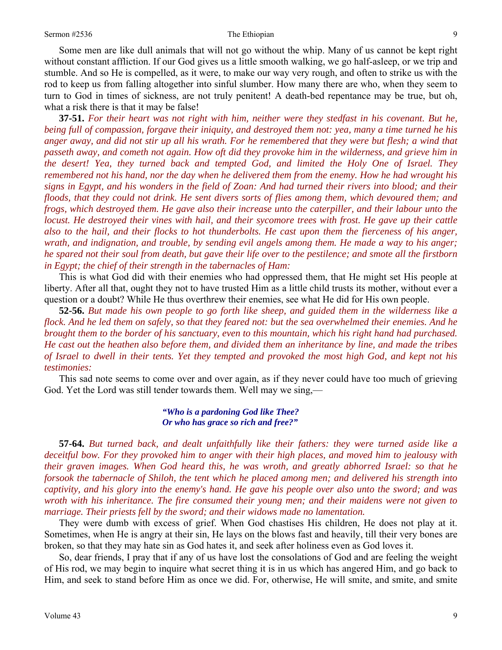Some men are like dull animals that will not go without the whip. Many of us cannot be kept right without constant affliction. If our God gives us a little smooth walking, we go half-asleep, or we trip and stumble. And so He is compelled, as it were, to make our way very rough, and often to strike us with the rod to keep us from falling altogether into sinful slumber. How many there are who, when they seem to turn to God in times of sickness, are not truly penitent! A death-bed repentance may be true, but oh, what a risk there is that it may be false!

**37-51.** *For their heart was not right with him, neither were they stedfast in his covenant. But he, being full of compassion, forgave their iniquity, and destroyed them not: yea, many a time turned he his anger away, and did not stir up all his wrath. For he remembered that they were but flesh; a wind that passeth away, and cometh not again. How oft did they provoke him in the wilderness, and grieve him in the desert! Yea, they turned back and tempted God, and limited the Holy One of Israel. They remembered not his hand, nor the day when he delivered them from the enemy. How he had wrought his signs in Egypt, and his wonders in the field of Zoan: And had turned their rivers into blood; and their floods, that they could not drink. He sent divers sorts of flies among them, which devoured them; and frogs, which destroyed them. He gave also their increase unto the caterpiller, and their labour unto the locust. He destroyed their vines with hail, and their sycomore trees with frost. He gave up their cattle also to the hail, and their flocks to hot thunderbolts. He cast upon them the fierceness of his anger, wrath, and indignation, and trouble, by sending evil angels among them. He made a way to his anger; he spared not their soul from death, but gave their life over to the pestilence; and smote all the firstborn in Egypt; the chief of their strength in the tabernacles of Ham:* 

This is what God did with their enemies who had oppressed them, that He might set His people at liberty. After all that, ought they not to have trusted Him as a little child trusts its mother, without ever a question or a doubt? While He thus overthrew their enemies, see what He did for His own people.

**52-56.** *But made his own people to go forth like sheep, and guided them in the wilderness like a flock. And he led them on safely, so that they feared not: but the sea overwhelmed their enemies. And he brought them to the border of his sanctuary, even to this mountain, which his right hand had purchased. He cast out the heathen also before them, and divided them an inheritance by line, and made the tribes of Israel to dwell in their tents. Yet they tempted and provoked the most high God, and kept not his testimonies:* 

This sad note seems to come over and over again, as if they never could have too much of grieving God. Yet the Lord was still tender towards them. Well may we sing,—

### *"Who is a pardoning God like Thee? Or who has grace so rich and free?"*

**57-64.** *But turned back, and dealt unfaithfully like their fathers: they were turned aside like a deceitful bow. For they provoked him to anger with their high places, and moved him to jealousy with their graven images. When God heard this, he was wroth, and greatly abhorred Israel: so that he forsook the tabernacle of Shiloh, the tent which he placed among men; and delivered his strength into captivity, and his glory into the enemy's hand. He gave his people over also unto the sword; and was wroth with his inheritance. The fire consumed their young men; and their maidens were not given to marriage. Their priests fell by the sword; and their widows made no lamentation.* 

They were dumb with excess of grief. When God chastises His children, He does not play at it. Sometimes, when He is angry at their sin, He lays on the blows fast and heavily, till their very bones are broken, so that they may hate sin as God hates it, and seek after holiness even as God loves it.

So, dear friends, I pray that if any of us have lost the consolations of God and are feeling the weight of His rod, we may begin to inquire what secret thing it is in us which has angered Him, and go back to Him, and seek to stand before Him as once we did. For, otherwise, He will smite, and smite, and smite